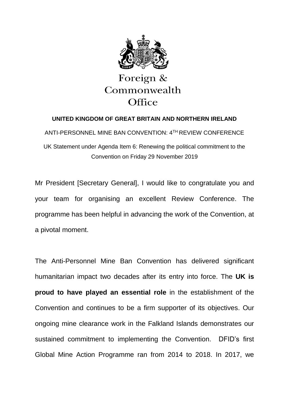

## Foreign & Commonwealth Office

## **UNITED KINGDOM OF GREAT BRITAIN AND NORTHERN IRELAND**

ANTI-PERSONNEL MINE BAN CONVENTION: 4TH REVIEW CONFERENCE UK Statement under Agenda Item 6: Renewing the political commitment to the Convention on Friday 29 November 2019

Mr President [Secretary General], I would like to congratulate you and your team for organising an excellent Review Conference. The programme has been helpful in advancing the work of the Convention, at a pivotal moment.

The Anti-Personnel Mine Ban Convention has delivered significant humanitarian impact two decades after its entry into force. The **UK is proud to have played an essential role** in the establishment of the Convention and continues to be a firm supporter of its objectives. Our ongoing mine clearance work in the Falkland Islands demonstrates our sustained commitment to implementing the Convention. DFID's first Global Mine Action Programme ran from 2014 to 2018. In 2017, we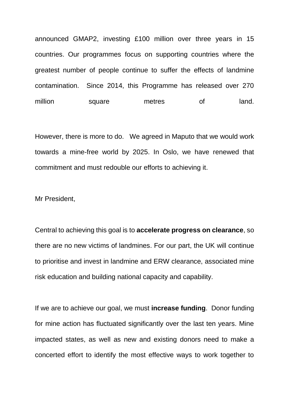announced GMAP2, investing £100 million over three years in 15 countries. Our programmes focus on supporting countries where the greatest number of people continue to suffer the effects of landmine contamination. Since 2014, this Programme has released over 270 million square metres of land.

However, there is more to do. We agreed in Maputo that we would work towards a mine-free world by 2025. In Oslo, we have renewed that commitment and must redouble our efforts to achieving it.

Mr President,

Central to achieving this goal is to **accelerate progress on clearance**, so there are no new victims of landmines. For our part, the UK will continue to prioritise and invest in landmine and ERW clearance, associated mine risk education and building national capacity and capability.

If we are to achieve our goal, we must **increase funding**. Donor funding for mine action has fluctuated significantly over the last ten years. Mine impacted states, as well as new and existing donors need to make a concerted effort to identify the most effective ways to work together to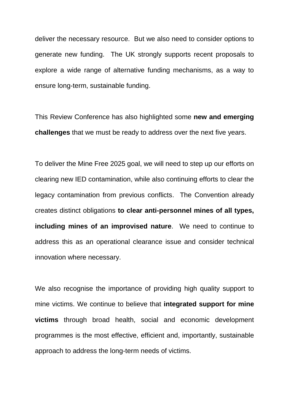deliver the necessary resource. But we also need to consider options to generate new funding. The UK strongly supports recent proposals to explore a wide range of alternative funding mechanisms, as a way to ensure long-term, sustainable funding.

This Review Conference has also highlighted some **new and emerging challenges** that we must be ready to address over the next five years.

To deliver the Mine Free 2025 goal, we will need to step up our efforts on clearing new IED contamination, while also continuing efforts to clear the legacy contamination from previous conflicts. The Convention already creates distinct obligations **to clear anti-personnel mines of all types, including mines of an improvised nature**. We need to continue to address this as an operational clearance issue and consider technical innovation where necessary.

We also recognise the importance of providing high quality support to mine victims. We continue to believe that **integrated support for mine victims** through broad health, social and economic development programmes is the most effective, efficient and, importantly, sustainable approach to address the long-term needs of victims.